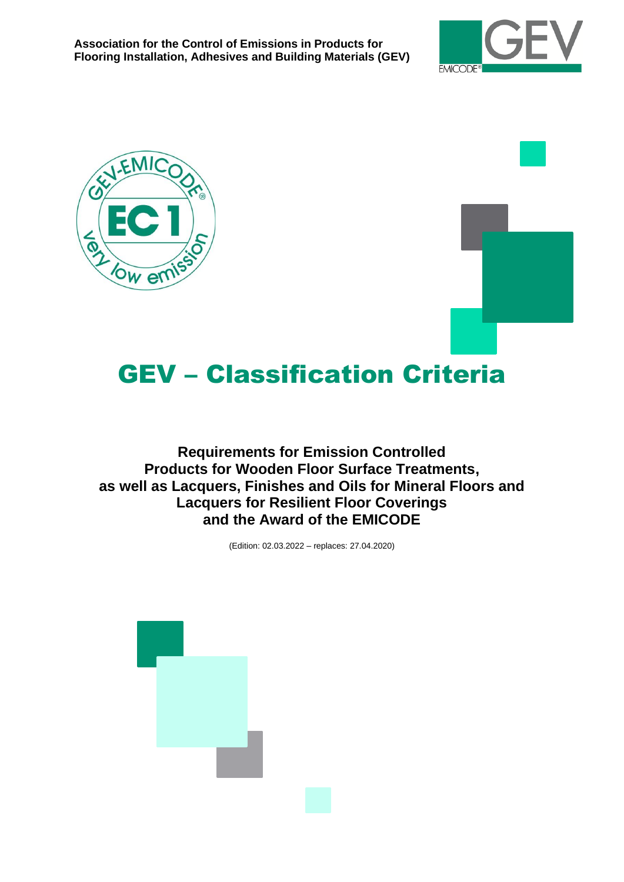





# GEV – Classification Criteria

**Requirements for Emission Controlled Products for Wooden Floor Surface Treatments, as well as Lacquers, Finishes and Oils for Mineral Floors and Lacquers for Resilient Floor Coverings and the Award of the EMICODE**

(Edition: 02.03.2022 – replaces: 27.04.2020)

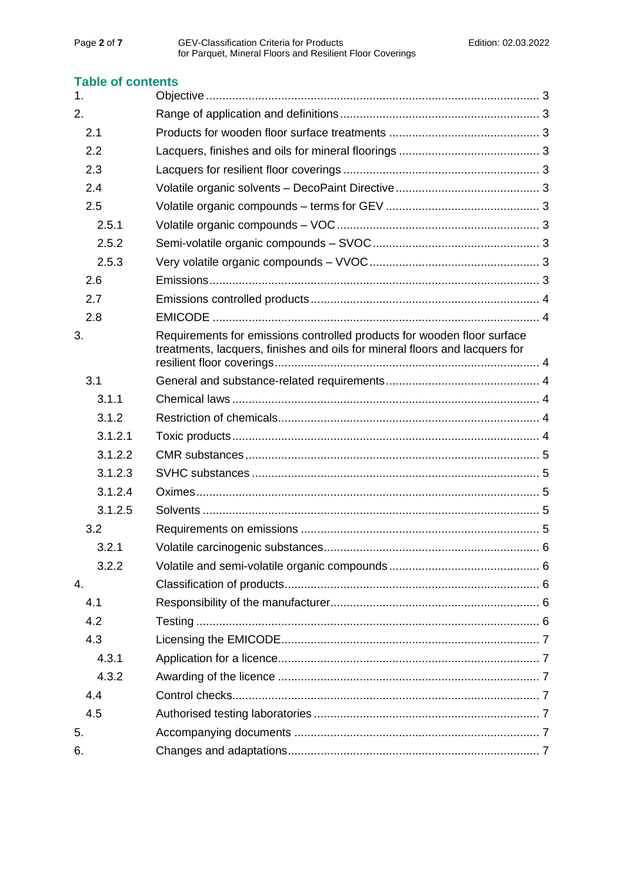## **Table of contents**

| 1.      |                                                                                                                                                        |  |
|---------|--------------------------------------------------------------------------------------------------------------------------------------------------------|--|
| 2.      |                                                                                                                                                        |  |
| 2.1     |                                                                                                                                                        |  |
| 2.2     |                                                                                                                                                        |  |
| 2.3     |                                                                                                                                                        |  |
| 2.4     |                                                                                                                                                        |  |
| 2.5     |                                                                                                                                                        |  |
| 2.5.1   |                                                                                                                                                        |  |
| 2.5.2   |                                                                                                                                                        |  |
| 2.5.3   |                                                                                                                                                        |  |
| 2.6     |                                                                                                                                                        |  |
| 2.7     |                                                                                                                                                        |  |
| 2.8     |                                                                                                                                                        |  |
| 3.      | Requirements for emissions controlled products for wooden floor surface<br>treatments, lacquers, finishes and oils for mineral floors and lacquers for |  |
| 3.1     |                                                                                                                                                        |  |
| 3.1.1   |                                                                                                                                                        |  |
| 3.1.2   |                                                                                                                                                        |  |
| 3.1.2.1 |                                                                                                                                                        |  |
| 3.1.2.2 |                                                                                                                                                        |  |
| 3.1.2.3 |                                                                                                                                                        |  |
| 3.1.2.4 |                                                                                                                                                        |  |
| 3.1.2.5 |                                                                                                                                                        |  |
| 3.2     |                                                                                                                                                        |  |
| 3.2.1   |                                                                                                                                                        |  |
| 3.2.2   |                                                                                                                                                        |  |
| 4.      |                                                                                                                                                        |  |
| 4.1     |                                                                                                                                                        |  |
| 4.2     |                                                                                                                                                        |  |
| 4.3     |                                                                                                                                                        |  |
| 4.3.1   |                                                                                                                                                        |  |
| 4.3.2   |                                                                                                                                                        |  |
| 4.4     |                                                                                                                                                        |  |
| 4.5     |                                                                                                                                                        |  |
| 5.      |                                                                                                                                                        |  |
| 6.      |                                                                                                                                                        |  |
|         |                                                                                                                                                        |  |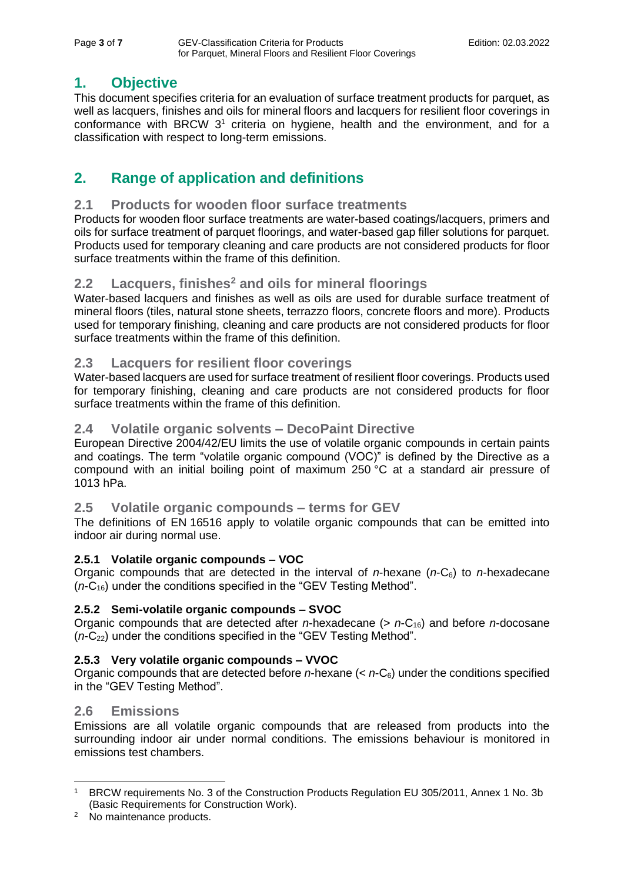# <span id="page-2-0"></span>**1. Objective**

This document specifies criteria for an evaluation of surface treatment products for parquet, as well as lacquers, finishes and oils for mineral floors and lacquers for resilient floor coverings in conformance with BRCW  $3<sup>1</sup>$  criteria on hygiene, health and the environment, and for a classification with respect to long-term emissions.

# <span id="page-2-1"></span>**2. Range of application and definitions**

## <span id="page-2-2"></span>**2.1 Products for wooden floor surface treatments**

Products for wooden floor surface treatments are water-based coatings/lacquers, primers and oils for surface treatment of parquet floorings, and water-based gap filler solutions for parquet. Products used for temporary cleaning and care products are not considered products for floor surface treatments within the frame of this definition.

## <span id="page-2-3"></span>**2.2 Lacquers, finishes<sup>2</sup> and oils for mineral floorings**

Water-based lacquers and finishes as well as oils are used for durable surface treatment of mineral floors (tiles, natural stone sheets, terrazzo floors, concrete floors and more). Products used for temporary finishing, cleaning and care products are not considered products for floor surface treatments within the frame of this definition.

## <span id="page-2-4"></span>**2.3 Lacquers for resilient floor coverings**

Water-based lacquers are used for surface treatment of resilient floor coverings. Products used for temporary finishing, cleaning and care products are not considered products for floor surface treatments within the frame of this definition.

## <span id="page-2-5"></span>**2.4 Volatile organic solvents – DecoPaint Directive**

European Directive 2004/42/EU limits the use of volatile organic compounds in certain paints and coatings. The term "volatile organic compound (VOC)" is defined by the Directive as a compound with an initial boiling point of maximum 250 °C at a standard air pressure of 1013 hPa.

## <span id="page-2-6"></span>**2.5 Volatile organic compounds – terms for GEV**

The definitions of EN 16516 apply to volatile organic compounds that can be emitted into indoor air during normal use.

## <span id="page-2-7"></span>**2.5.1 Volatile organic compounds – VOC**

Organic compounds that are detected in the interval of *n*-hexane (*n*-C6) to *n*-hexadecane (*n*-C16) under the conditions specified in the "GEV Testing Method".

## <span id="page-2-8"></span>**2.5.2 Semi-volatile organic compounds – SVOC**

Organic compounds that are detected after *n*-hexadecane (> *n*-C16) and before *n*-docosane  $(n-C_{22})$  under the conditions specified in the "GEV Testing Method".

## <span id="page-2-9"></span>**2.5.3 Very volatile organic compounds – VVOC**

Organic compounds that are detected before *n*-hexane (< *n*-C6) under the conditions specified in the "GEV Testing Method".

## <span id="page-2-10"></span>**2.6 Emissions**

Emissions are all volatile organic compounds that are released from products into the surrounding indoor air under normal conditions. The emissions behaviour is monitored in emissions test chambers.

<sup>&</sup>lt;sup>1</sup> BRCW requirements No. 3 of the Construction Products Regulation EU 305/2011, Annex 1 No. 3b (Basic Requirements for Construction Work).

<sup>2</sup> No maintenance products.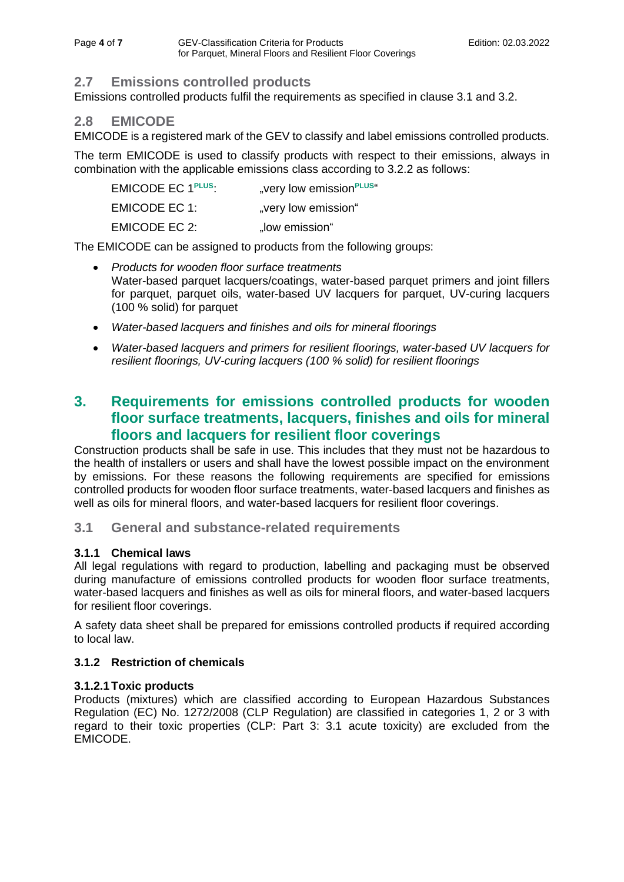## <span id="page-3-0"></span>**2.7 Emissions controlled products**

Emissions controlled products fulfil the requirements as specified in clause 3.1 and 3.2.

## <span id="page-3-1"></span>**2.8 EMICODE**

EMICODE is a registered mark of the GEV to classify and label emissions controlled products.

The term EMICODE is used to classify products with respect to their emissions, always in combination with the applicable emissions class according to 3.2.2 as follows:

| EMICODE EC 1PLUS | "very low emission <sup>PLUS"</sup> |
|------------------|-------------------------------------|
| EMICODE EC 1:    | "very low emission"                 |
| EMICODE EC 2:    | "low emission"                      |

The EMICODE can be assigned to products from the following groups:

- *Products for wooden floor surface treatments* Water-based parquet lacquers/coatings, water-based parquet primers and joint fillers for parquet, parquet oils, water-based UV lacquers for parquet, UV-curing lacquers (100 % solid) for parquet
- *Water-based lacquers and finishes and oils for mineral floorings*
- *Water-based lacquers and primers for resilient floorings, water-based UV lacquers for resilient floorings, UV-curing lacquers (100 % solid) for resilient floorings*

# <span id="page-3-2"></span>**3. Requirements for emissions controlled products for wooden floor surface treatments, lacquers, finishes and oils for mineral floors and lacquers for resilient floor coverings**

Construction products shall be safe in use. This includes that they must not be hazardous to the health of installers or users and shall have the lowest possible impact on the environment by emissions. For these reasons the following requirements are specified for emissions controlled products for wooden floor surface treatments, water-based lacquers and finishes as well as oils for mineral floors, and water-based lacquers for resilient floor coverings.

## <span id="page-3-3"></span>**3.1 General and substance-related requirements**

## <span id="page-3-4"></span>**3.1.1 Chemical laws**

All legal regulations with regard to production, labelling and packaging must be observed during manufacture of emissions controlled products for wooden floor surface treatments, water-based lacquers and finishes as well as oils for mineral floors, and water-based lacquers for resilient floor coverings.

A safety data sheet shall be prepared for emissions controlled products if required according to local law.

## <span id="page-3-5"></span>**3.1.2 Restriction of chemicals**

## <span id="page-3-6"></span>**3.1.2.1Toxic products**

Products (mixtures) which are classified according to European Hazardous Substances Regulation (EC) No. 1272/2008 (CLP Regulation) are classified in categories 1, 2 or 3 with regard to their toxic properties (CLP: Part 3: 3.1 acute toxicity) are excluded from the EMICODE.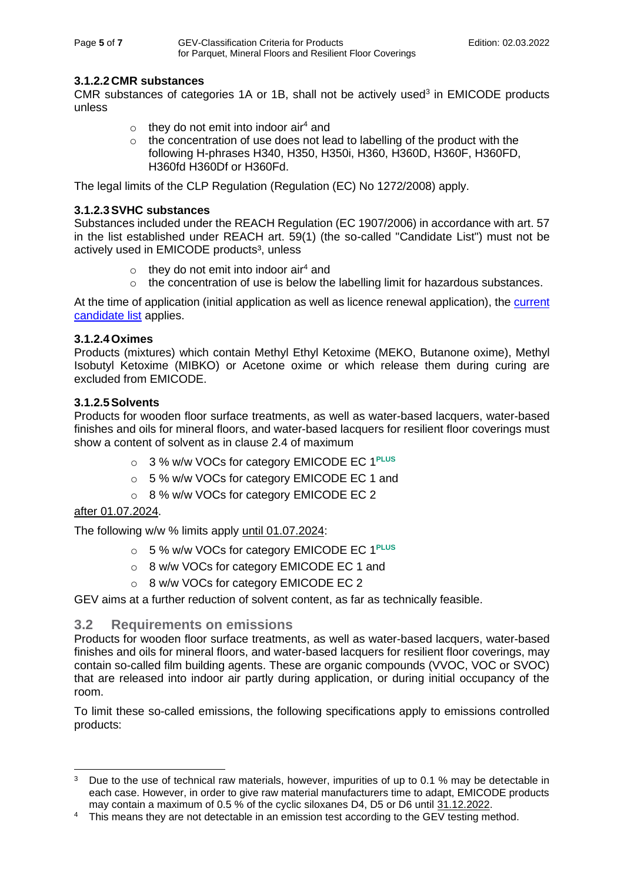#### <span id="page-4-0"></span>**3.1.2.2 CMR substances**

<span id="page-4-1"></span>CMR substances of categories  $1A$  or  $1B$ , shall not be actively used<sup>3</sup> in EMICODE products unless

- $\circ$  they do not emit into indoor air<sup>4</sup> and
- $\circ$  the concentration of use does not lead to labelling of the product with the following H-phrases H340, H350, H350i, H360, H360D, H360F, H360FD, H360fd H360Df or H360Fd.

The legal limits of the CLP Regulation (Regulation (EC) No 1272/2008) apply.

#### **3.1.2.3SVHC substances**

<span id="page-4-2"></span>Substances included under the REACH Regulation (EC 1907/2006) in accordance with art. 57 in the list established under REACH art. 59(1) (the so-called "Candidate List") must not be actively used in EMICODE products<sup>3</sup>, unless

- $\circ$  they do not emit into indoor air<sup>4</sup> and
- $\circ$  the concentration of use is below the labelling limit for hazardous substances.

At the time of application (initial application as well as licence renewal application), the current [candidate list](https://echa.europa.eu/de/candidate-list-table) applies.

#### **3.1.2.4Oximes**

Products (mixtures) which contain Methyl Ethyl Ketoxime (MEKO, Butanone oxime), Methyl Isobutyl Ketoxime (MIBKO) or Acetone oxime or which release them during curing are excluded from EMICODE.

#### <span id="page-4-3"></span>**3.1.2.5Solvents**

Products for wooden floor surface treatments, as well as water-based lacquers, water-based finishes and oils for mineral floors, and water-based lacquers for resilient floor coverings must show a content of solvent as in clause 2.4 of maximum

- o 3 % w/w VOCs for category EMICODE EC 1**PLUS**
- o 5 % w/w VOCs for category EMICODE EC 1 and
- o 8 % w/w VOCs for category EMICODE EC 2

#### after 01.07.2024.

The following w/w % limits apply until 01.07.2024:

- o 5 % w/w VOCs for category EMICODE EC 1**PLUS**
- o 8 w/w VOCs for category EMICODE EC 1 and
- o 8 w/w VOCs for category EMICODE EC 2

GEV aims at a further reduction of solvent content, as far as technically feasible.

#### <span id="page-4-4"></span>**3.2 Requirements on emissions**

Products for wooden floor surface treatments, as well as water-based lacquers, water-based finishes and oils for mineral floors, and water-based lacquers for resilient floor coverings, may contain so-called film building agents. These are organic compounds (VVOC, VOC or SVOC) that are released into indoor air partly during application, or during initial occupancy of the room.

To limit these so-called emissions, the following specifications apply to emissions controlled products:

<sup>&</sup>lt;sup>3</sup> Due to the use of technical raw materials, however, impurities of up to 0.1 % may be detectable in each case. However, in order to give raw material manufacturers time to adapt, EMICODE products may contain a maximum of 0.5 % of the cyclic siloxanes D4, D5 or D6 until 31.12.2022.

<sup>&</sup>lt;sup>4</sup> This means they are not detectable in an emission test according to the GEV testing method.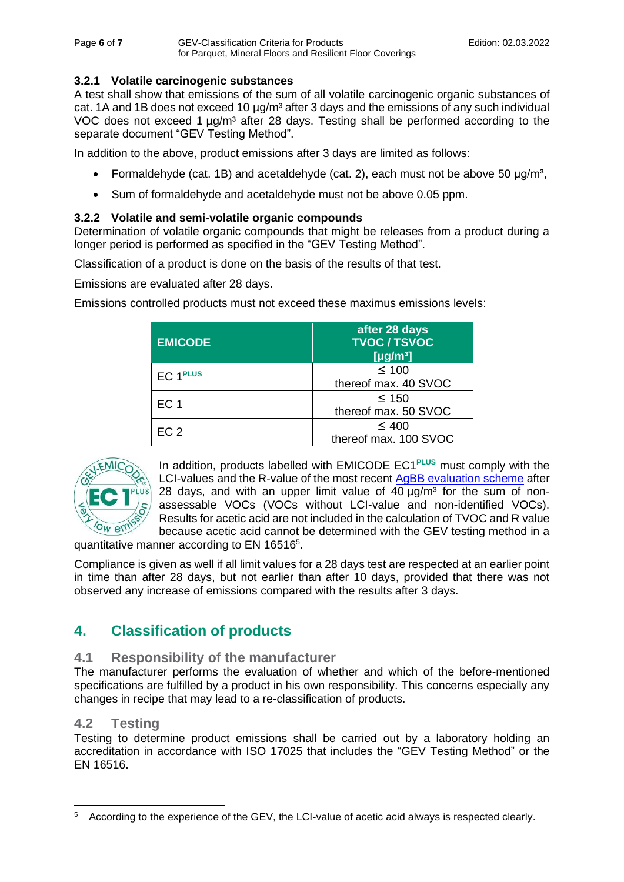#### <span id="page-5-0"></span>**3.2.1 Volatile carcinogenic substances**

A test shall show that emissions of the sum of all volatile carcinogenic organic substances of cat. 1A and 1B does not exceed 10  $\mu$ g/m<sup>3</sup> after 3 days and the emissions of any such individual VOC does not exceed 1  $\mu q/m^3$  after 28 days. Testing shall be performed according to the separate document "GEV Testing Method".

In addition to the above, product emissions after 3 days are limited as follows:

- Formaldehyde (cat. 1B) and acetaldehyde (cat. 2), each must not be above 50  $\mu$ g/m<sup>3</sup>,
- Sum of formaldehyde and acetaldehyde must not be above 0.05 ppm.

#### <span id="page-5-1"></span>**3.2.2 Volatile and semi-volatile organic compounds**

Determination of volatile organic compounds that might be releases from a product during a longer period is performed as specified in the "GEV Testing Method".

Classification of a product is done on the basis of the results of that test.

Emissions are evaluated after 28 days.

Emissions controlled products must not exceed these maximus emissions levels:

| <b>EMICODE</b>  | after 28 days<br><b>TVOC / TSVOC</b><br>[ $\mu$ g/m <sup>3</sup> ] |
|-----------------|--------------------------------------------------------------------|
| EC 1PLUS        | $\leq 100$<br>thereof max. 40 SVOC                                 |
| EC <sub>1</sub> | $\leq 150$<br>thereof max. 50 SVOC                                 |
| EC <sub>2</sub> | $\leq 400$<br>thereof max. 100 SVOC                                |



In addition, products labelled with EMICODE EC1**PLUS** must comply with the LCI-values and the R-value of the most recent [AgBB evaluation scheme](https://www.umweltbundesamt.de/en/topics/health/commissions-working-groups/committee-for-health-related-evaluation-of-building#agbb-health-related-evaluation-of-emissions-of-volatile-organic-compounds-vvoc-voc-and-svoc-from-building-products) after 28 days, and with an upper limit value of  $40 \mu q/m<sup>3</sup>$  for the sum of nonassessable VOCs (VOCs without LCI-value and non-identified VOCs). Results for acetic acid are not included in the calculation of TVOC and R value because acetic acid cannot be determined with the GEV testing method in a

quantitative manner according to EN 16516<sup>5</sup>.

Compliance is given as well if all limit values for a 28 days test are respected at an earlier point in time than after 28 days, but not earlier than after 10 days, provided that there was not observed any increase of emissions compared with the results after 3 days.

# <span id="page-5-2"></span>**4. Classification of products**

#### <span id="page-5-3"></span>**4.1 Responsibility of the manufacturer**

The manufacturer performs the evaluation of whether and which of the before-mentioned specifications are fulfilled by a product in his own responsibility. This concerns especially any changes in recipe that may lead to a re-classification of products.

## <span id="page-5-4"></span>**4.2 Testing**

Testing to determine product emissions shall be carried out by a laboratory holding an accreditation in accordance with ISO 17025 that includes the "GEV Testing Method" or the EN 16516.

<sup>5</sup> According to the experience of the GEV, the LCI-value of acetic acid always is respected clearly.